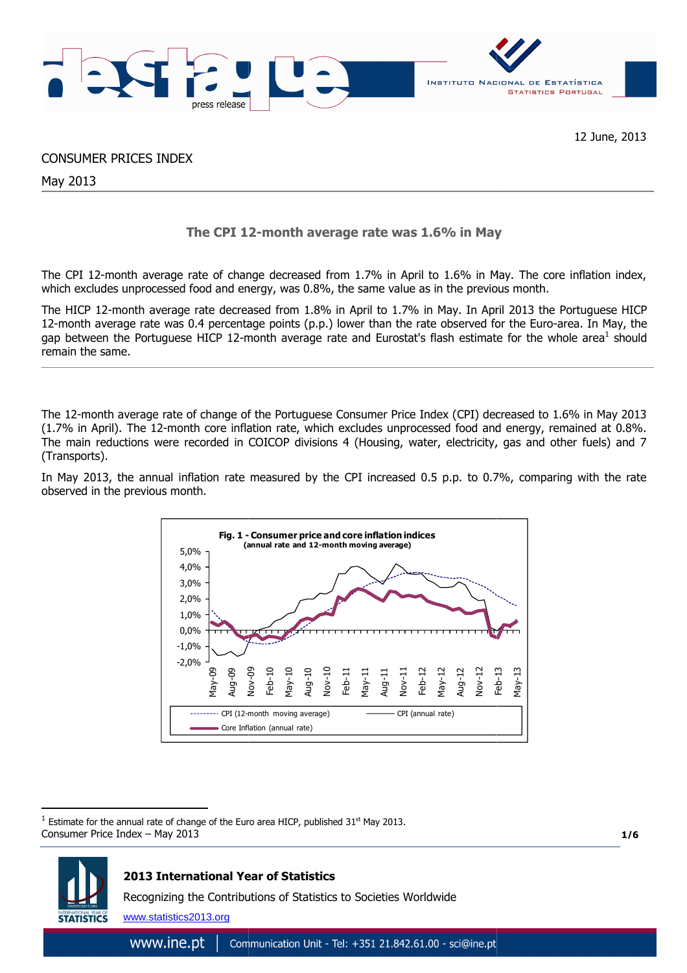

# CONSUMER PRICES INDEX

May 2013

# **The CPI 12 12-month average rate was 1.6% in May**

The CPI 12-month average rate of change decreased from 1.7% in April to 1.6% in May May. The core inflation index, which excludes unprocessed food and energy, was 0.8%, the same value as in the previous month.

The HICP 12-month average rate decreased from 1.8% in April to 1.7% in May. In April 2013 the Portuguese HICP 12-month average rate was 0.4 percentage points (p.p.) lower than the rate observed for the Euro Euro-area. In May, the gap between the Portuguese HICP 12-month average rate and Eurostat's flash estimate for the whole area<sup>1</sup> should remain the same.

The 12-month average rate of change of the Portuguese Consumer Price Index (CPI) decreased to 1.6% in May 2013 (1.7% in April). The 12-month core inflation rate, which excludes unprocessed food and energy, remained at 0.8%. The main reductions were recorded in COICOP divisions 4 (Housing, water, electricity, gas and other fuels) and 7 (Transports).

In May 2013, the annual inflation rate measured by the CPI increased 0.5 p.p. to 0.7%, comparing with the rate observed in the previous month.



Consumer Price Index – May 2013 1 Estimate for the annual rate of change of the Euro area HICP, published 31<sup>st</sup> May 2013.

**1/6**



 $\overline{a}$ 

# **2013 International Year of Statistics**

Recognizing the Contributions of Statistics to Societies Worldwide

www.statistics2013.org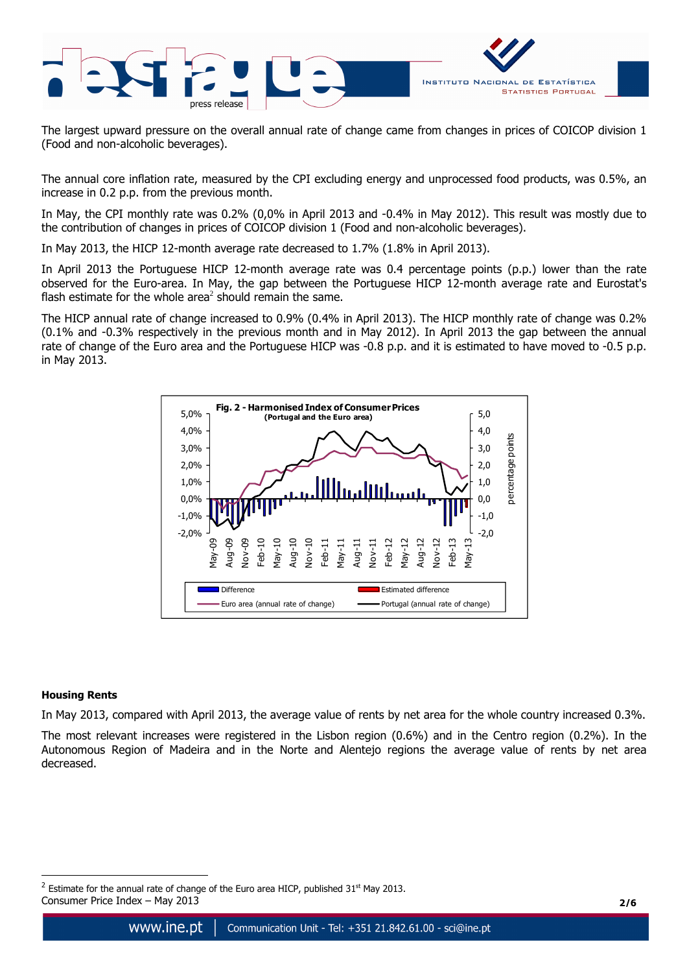

The largest upward pressure on the overall annual rate of change came from changes in prices of COICOP division 1 (Food and non-alcoholic beverages).

The annual core inflation rate, measured by the CPI excluding energy and unprocessed food products, was 0.5%, an increase in 0.2 p.p. from the previous month.

In May, the CPI monthly rate was 0.2% (0,0% in April 2013 and -0.4% in May 2012). This result was mostly due to the contribution of changes in prices of COICOP division 1 (Food and non-alcoholic beverages).

In May 2013, the HICP 12-month average rate decreased to 1.7% (1.8% in April 2013).

In April 2013 the Portuguese HICP 12-month average rate was 0.4 percentage points (p.p.) lower than the rate observed for the Euro-area. In May, the gap between the Portuguese HICP 12-month average rate and Eurostat's flash estimate for the whole area<sup>2</sup> should remain the same.

The HICP annual rate of change increased to 0.9% (0.4% in April 2013). The HICP monthly rate of change was 0.2% (0.1% and -0.3% respectively in the previous month and in May 2012). In April 2013 the gap between the annual rate of change of the Euro area and the Portuguese HICP was -0.8 p.p. and it is estimated to have moved to -0.5 p.p. in May 2013.



# **Housing Rents**

 $\overline{a}$ 

In May 2013, compared with April 2013, the average value of rents by net area for the whole country increased 0.3%.

The most relevant increases were registered in the Lisbon region (0.6%) and in the Centro region (0.2%). In the Autonomous Region of Madeira and in the Norte and Alentejo regions the average value of rents by net area decreased.

Consumer Price Index – May 2013 **2/6** <sup>2</sup> Estimate for the annual rate of change of the Euro area HICP, published 31<sup>st</sup> May 2013.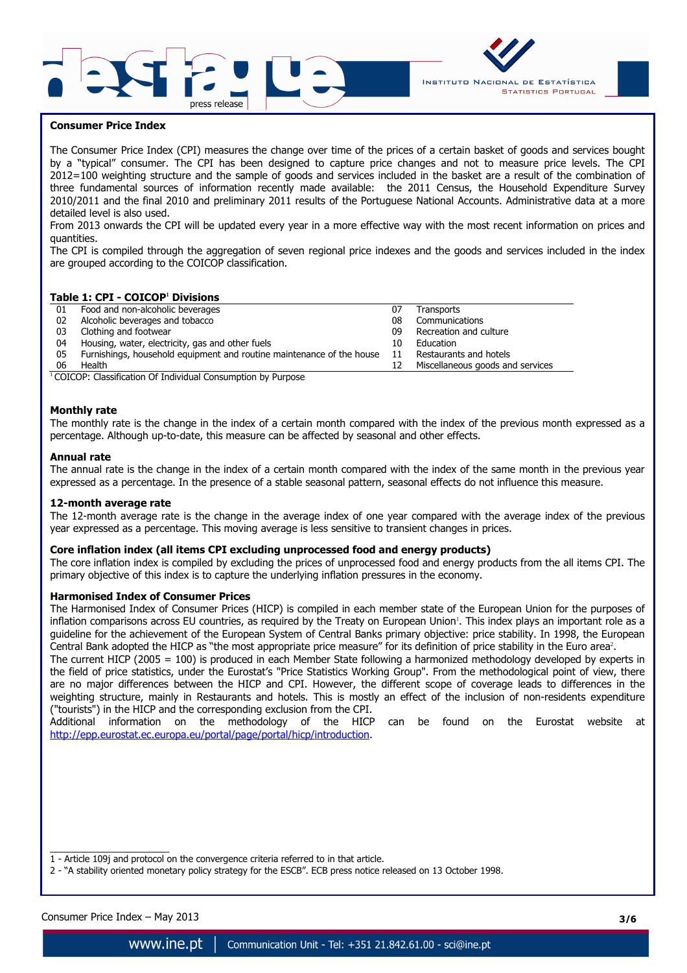



## **Consumer Price Index**

The Consumer Price Index (CPI) measures the change over time of the prices of a certain basket of goods and services bought by a "typical" consumer. The CPI has been designed to capture price changes and not to measure price levels. The CPI 2012=100 weighting structure and the sample of goods and services included in the basket are a result of the combination of three fundamental sources of information recently made available: the 2011 Census, the Household Expenditure Survey 2010/2011 and the final 2010 and preliminary 2011 results of the Portuguese National Accounts. Administrative data at a more detailed level is also used.

From 2013 onwards the CPI will be updated every year in a more effective way with the most recent information on prices and quantities.

The CPI is compiled through the aggregation of seven regional price indexes and the goods and services included in the index are grouped according to the COICOP classification.

### **Table 1: CPI - COICOP<sup>1</sup> Divisions**

| 01 | Food and non-alcoholic beverages                                      | 07 | Transports                       |
|----|-----------------------------------------------------------------------|----|----------------------------------|
| 02 | Alcoholic beverages and tobacco                                       | 08 | Communications                   |
| 03 | Clothing and footwear                                                 | 09 | Recreation and culture           |
| 04 | Housing, water, electricity, gas and other fuels                      | 10 | Education                        |
| 05 | Furnishings, household equipment and routine maintenance of the house | 11 | Restaurants and hotels           |
| 06 | Health                                                                | 12 | Miscellaneous goods and services |

 $1$ COICOP: Classification Of Individual Consumption by Purpose

### **Monthly rate**

The monthly rate is the change in the index of a certain month compared with the index of the previous month expressed as a percentage. Although up-to-date, this measure can be affected by seasonal and other effects.

### **Annual rate**

The annual rate is the change in the index of a certain month compared with the index of the same month in the previous year expressed as a percentage. In the presence of a stable seasonal pattern, seasonal effects do not influence this measure.

#### **12-month average rate**

The 12-month average rate is the change in the average index of one year compared with the average index of the previous year expressed as a percentage. This moving average is less sensitive to transient changes in prices.

### **Core inflation index (all items CPI excluding unprocessed food and energy products)**

The core inflation index is compiled by excluding the prices of unprocessed food and energy products from the all items CPI. The primary objective of this index is to capture the underlying inflation pressures in the economy.

### **Harmonised Index of Consumer Prices**

The Harmonised Index of Consumer Prices (HICP) is compiled in each member state of the European Union for the purposes of inflation comparisons across EU countries, as required by the Treaty on European Union'. This index plays an important role as a guideline for the achievement of the European System of Central Banks primary objective: price stability. In 1998, the European Central Bank adopted the HICP as "the most appropriate price measure" for its definition of price stability in the Euro area<sup>2</sup>.

The current HICP (2005 = 100) is produced in each Member State following a harmonized methodology developed by experts in the field of price statistics, under the Eurostat's "Price Statistics Working Group". From the methodological point of view, there are no major differences between the HICP and CPI. However, the different scope of coverage leads to differences in the weighting structure, mainly in Restaurants and hotels. This is mostly an effect of the inclusion of non-residents expenditure ("tourists") in the HICP and the corresponding exclusion from the CPI.

Additional information on the methodology of the HICP can be found on the Eurostat website at http://epp.eurostat.ec.europa.eu/portal/page/portal/hicp/introduction.

 $\overline{\phantom{a}}$  , and the set of the set of the set of the set of the set of the set of the set of the set of the set of the set of the set of the set of the set of the set of the set of the set of the set of the set of the s 1 - Article 109j and protocol on the convergence criteria referred to in that article.

2 - "A stability oriented monetary policy strategy for the ESCB". ECB press notice released on 13 October 1998.

Consumer Price Index – May 2013 **3/6**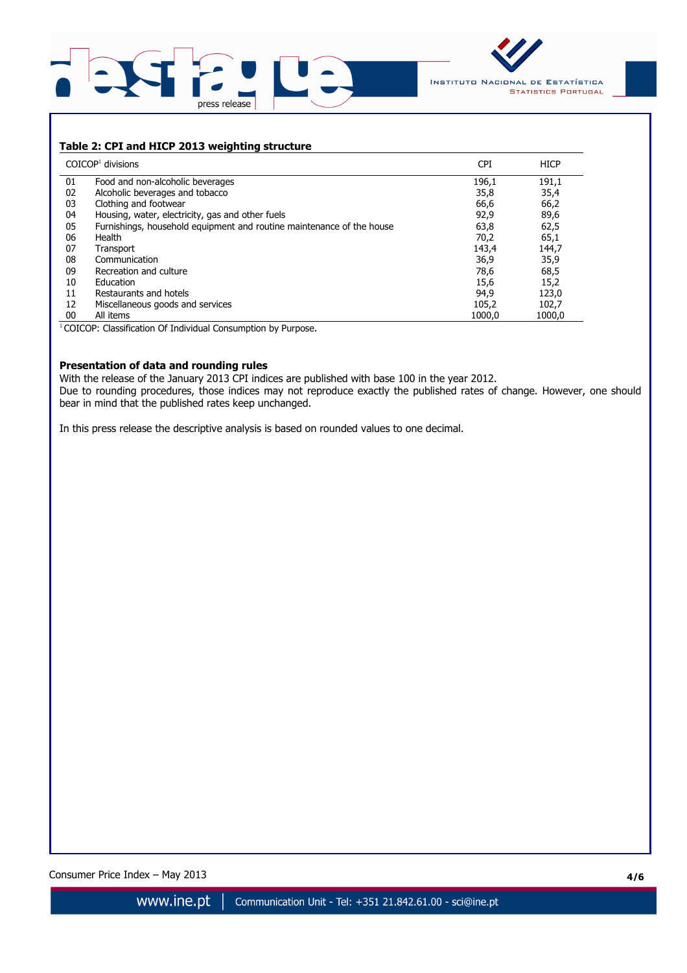



# **Table 2: CPI and HICP 2013 weighting structure**

|    | $COICOP1$ divisions                                                   | <b>CPI</b> | <b>HICP</b> |
|----|-----------------------------------------------------------------------|------------|-------------|
| 01 | Food and non-alcoholic beverages                                      | 196,1      | 191,1       |
| 02 | Alcoholic beverages and tobacco                                       | 35,8       | 35,4        |
| 03 | Clothing and footwear                                                 | 66,6       | 66,2        |
| 04 | Housing, water, electricity, gas and other fuels                      | 92,9       | 89,6        |
| 05 | Furnishings, household equipment and routine maintenance of the house | 63,8       | 62,5        |
| 06 | Health                                                                | 70,2       | 65,1        |
| 07 | Transport                                                             | 143,4      | 144,7       |
| 08 | Communication                                                         | 36,9       | 35,9        |
| 09 | Recreation and culture                                                | 78,6       | 68,5        |
| 10 | Education                                                             | 15,6       | 15,2        |
| 11 | Restaurants and hotels                                                | 94,9       | 123,0       |
| 12 | Miscellaneous goods and services                                      | 105,2      | 102,7       |
| 00 | All items                                                             | 1000.0     | 1000.0      |

<sup>1</sup> COICOP: Classification Of Individual Consumption by Purpose.

## **Presentation of data and rounding rules**

With the release of the January 2013 CPI indices are published with base 100 in the year 2012. Due to rounding procedures, those indices may not reproduce exactly the published rates of change. However, one should bear in mind that the published rates keep unchanged.

In this press release the descriptive analysis is based on rounded values to one decimal.

Consumer Price Index – May 2013 **4/6**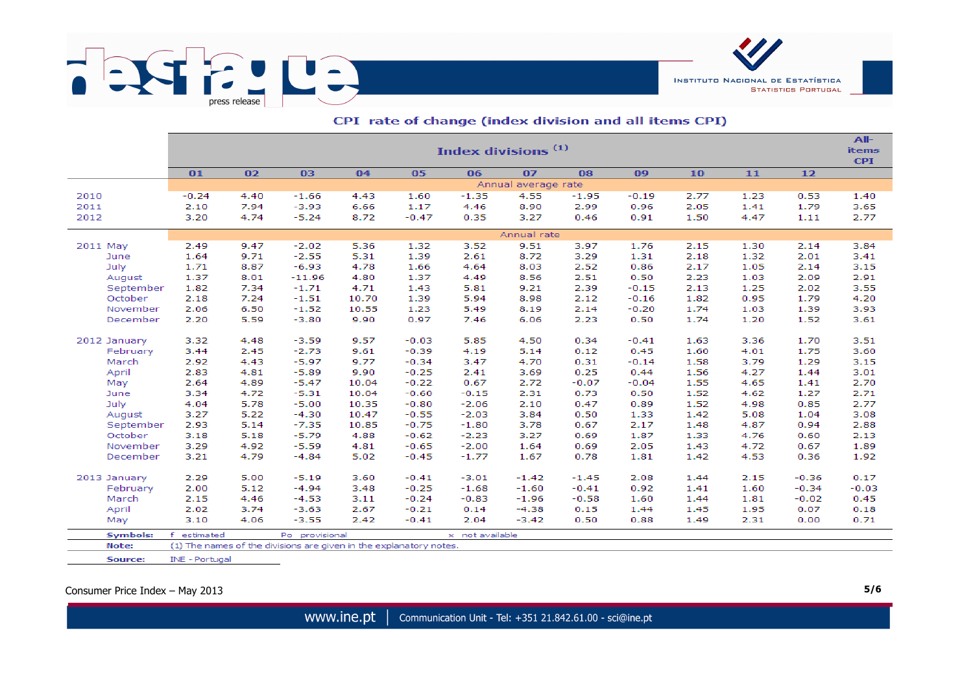

|                     |                                                                                                 |              |                    |              |         | Index divisions <sup>(1)</sup> |              |              |              |              |              |              | All-<br><b>items</b> |  |
|---------------------|-------------------------------------------------------------------------------------------------|--------------|--------------------|--------------|---------|--------------------------------|--------------|--------------|--------------|--------------|--------------|--------------|----------------------|--|
|                     | 01                                                                                              | 02           | 03                 | 04           | 05      | 06                             | 07           | 08           | 09           | 10           | 11           | $12$         | <b>CPI</b>           |  |
|                     | Annual average rate                                                                             |              |                    |              |         |                                |              |              |              |              |              |              |                      |  |
| 2010                | $-0.24$                                                                                         | 4.40         | $-1.66$            | 4.43         | 1.60    | $-1.35$                        | 4.55         | $-1.95$      | $-0.19$      | 2.77         | 1.23         | 0.53         | 1.40                 |  |
| 2011                | 2.10                                                                                            | 7.94         | $-3.93$            | 6.66         | 1.17    | 4.46                           | 8.90         | 2.99         | 0.96         | 2.05         | 1.41         | 1.79         | 3.65                 |  |
| 2012                | 3.20                                                                                            | 4.74         | $-5.24$            | 8.72         | $-0.47$ | 0.35                           | 3.27         | 0.46         | 0.91         | 1.50         | 4.47         | 1.11         | 2.77                 |  |
|                     | Annual rate                                                                                     |              |                    |              |         |                                |              |              |              |              |              |              |                      |  |
|                     | 9.51<br>2.49<br>9.47<br>5.36<br>3.52<br>3.97<br>1.76<br>2.15<br>$-2.02$<br>1.32<br>1.30<br>2.14 |              |                    |              |         |                                |              |              |              |              |              |              |                      |  |
| 2011 May            |                                                                                                 |              |                    |              | 1.39    |                                | 8.72         |              |              | 2.18         |              | 2.01         | 3.84                 |  |
| June<br>July        | 1.64<br>1.71                                                                                    | 9.71<br>8.87 | $-2.55$<br>$-6.93$ | 5.31<br>4.78 | 1.66    | 2.61<br>4.64                   |              | 3.29         | 1.31         |              | 1.32         |              | 3.41                 |  |
|                     | 1.37                                                                                            | 8.01         | $-11.96$           | 4.80         | 1.37    | 4.49                           | 8.03<br>8.56 | 2.52<br>2.51 | 0.86<br>0.50 | 2.17<br>2.23 | 1.05<br>1.03 | 2.14<br>2.09 | 3.15<br>2.91         |  |
| August<br>September | 1.82                                                                                            | 7.34         | $-1.71$            | 4.71         | 1.43    | 5.81                           | 9.21         | 2.39         | $-0.15$      | 2.13         | 1.25         | 2.02         | 3.55                 |  |
| October             | 2.18                                                                                            | 7.24         | $-1.51$            | 10.70        | 1.39    | 5.94                           | 8.98         | 2.12         | $-0.16$      | 1.82         | 0.95         | 1.79         | 4.20                 |  |
| November            | 2.06                                                                                            | 6.50         | $-1.52$            | 10.55        | 1.23    | 5.49                           | 8.19         | 2.14         | $-0.20$      | 1.74         | 1.03         | 1.39         | 3.93                 |  |
| December            | 2.20                                                                                            | 5.59         | $-3.80$            | 9.90         | 0.97    | 7.46                           | 6.06         | 2.23         | 0.50         | 1.74         | 1.20         | 1.52         | 3.61                 |  |
|                     |                                                                                                 |              |                    |              |         |                                |              |              |              |              |              |              |                      |  |
| 2012 January        | 3.32                                                                                            | 4.48         | $-3.59$            | 9.57         | $-0.03$ | 5.85                           | 4.50         | 0.34         | $-0.41$      | 1.63         | 3.36         | 1.70         | 3.51                 |  |
| February            | 3.44                                                                                            | 2.45         | $-2.73$            | 9.61         | $-0.39$ | 4.19                           | 5.14         | 0.12         | 0.45         | 1.60         | 4.01         | 1.75         | 3.60                 |  |
| March               | 2.92                                                                                            | 4.43         | $-5.97$            | 9.77         | $-0.34$ | 3.47                           | 4.70         | 0.31         | $-0.14$      | 1.58         | 3.79         | 1.29         | 3.15                 |  |
| April               | 2.83                                                                                            | 4.81         | $-5.89$            | 9.90         | $-0.25$ | 2.41                           | 3.69         | 0.25         | 0.44         | 1.56         | 4.27         | 1.44         | 3.01                 |  |
| May                 | 2.64                                                                                            | 4.89         | $-5.47$            | 10.04        | $-0.22$ | 0.67                           | 2.72         | $-0.07$      | $-0.04$      | 1.55         | 4.65         | 1.41         | 2.70                 |  |
| June                | 3.34                                                                                            | 4.72         | $-5.31$            | 10.04        | $-0.60$ | $-0.15$                        | 2.31         | 0.73         | 0.50         | 1.52         | 4.62         | 1.27         | 2.71                 |  |
| July                | 4.04                                                                                            | 5.78         | $-5.00$            | 10.35        | $-0.80$ | $-2.06$                        | 2.10         | 0.47         | 0.89         | 1.52         | 4.98         | 0.85         | 2.77                 |  |
| August              | 3.27                                                                                            | 5.22         | $-4.30$            | 10.47        | $-0.55$ | $-2.03$                        | 3.84         | 0.50         | 1.33         | 1.42         | 5.08         | 1.04         | 3.08                 |  |
| September           | 2.93                                                                                            | 5.14         | $-7.35$            | 10.85        | $-0.75$ | $-1.80$                        | 3.78         | 0.67         | 2.17         | 1.48         | 4.87         | 0.94         | 2.88                 |  |
| October             | 3.18                                                                                            | 5.18         | $-5.79$            | 4.88         | $-0.62$ | $-2.23$                        | 3.27         | 0.69         | 1.87         | 1.33         | 4.76         | 0.60         | 2.13                 |  |
| November            | 3.29                                                                                            | 4.92         | $-5.59$            | 4.81         | $-0.65$ | $-2.00$                        | 1.64         | 0.69         | 2.05         | 1.43         | 4.72         | 0.67         | 1.89                 |  |
| December            | 3.21                                                                                            | 4.79         | $-4.84$            | 5.02         | $-0.45$ | $-1.77$                        | 1.67         | 0.78         | 1.81         | 1.42         | 4.53         | 0.36         | 1.92                 |  |
| 2013 January        | 2.29                                                                                            | 5.00         | $-5.19$            | 3.60         | $-0.41$ | $-3.01$                        | $-1.42$      | $-1.45$      | 2.08         | 1.44         | 2.15         | $-0.36$      | 0.17                 |  |
| February            | 2.00                                                                                            | 5.12         | $-4.94$            | 3.48         | $-0.25$ | $-1.68$                        | $-1.60$      | $-0.41$      | 0.92         | 1.41         | 1.60         | $-0.34$      | $-0.03$              |  |
| March               | 2.15                                                                                            | 4.46         | $-4.53$            | 3.11         | $-0.24$ | $-0.83$                        | $-1.96$      | $-0.58$      | 1.60         | 1.44         | 1.81         | $-0.02$      | 0.45                 |  |
| April               | 2.02                                                                                            | 3.74         | $-3.63$            | 2.67         | $-0.21$ | 0.14                           | $-4.38$      | 0.15         | 1.44         | 1.45         | 1.95         | 0.07         | 0.18                 |  |
| May                 | 3.10                                                                                            | 4.06         | $-3.55$            | 2.42         | $-0.41$ | 2.04                           | $-3.42$      | 0.50         | 0.88         | 1.49         | 2.31         | 0.00         | 0.71                 |  |
| <b>Symbols:</b>     | f<br>estimated                                                                                  |              | Po provisional     |              |         | x not available                |              |              |              |              |              |              |                      |  |
| Note:               | (1) The names of the divisions are given in the explanatory notes.                              |              |                    |              |         |                                |              |              |              |              |              |              |                      |  |

# CPI rate of change (index division and all items CPI)

Consumer Price Index – May 2013 **5/6**

Source:

INE - Portugal

**INSTITUTO NACIONAL DE ESTATÍSTICA** 

**STATISTICS PORTUGAL**